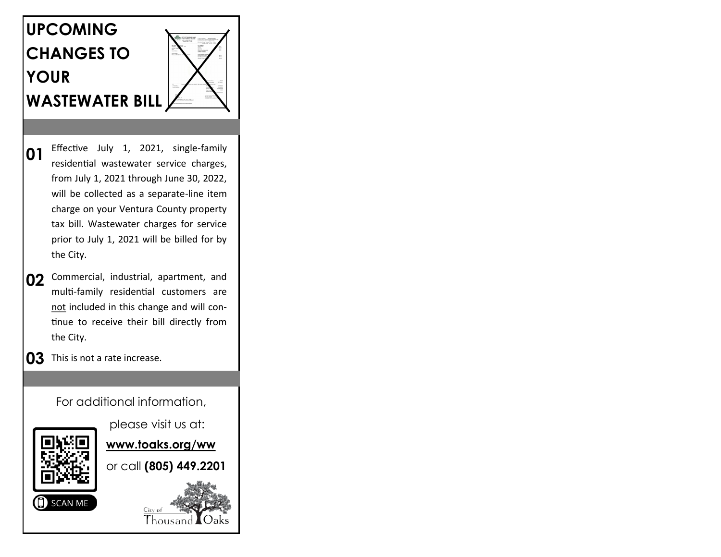# **UPCOMING CHANGES TO YOUR WASTEWATER BILL**



- **01** Effective July 1, 2021, single-family residential wastewater service charges, from July 1, 2021 through June 30, 2022, will be collected as a separate-line item charge on your Ventura County property tax bill. Wastewater charges for service prior to July 1, 2021 will be billed for by the City.
- **02** Commercial, industrial, apartment, and multi-family residential customers are not included in this change and will continue to receive their bill directly from the City.
- **03** This is not a rate increase.

For additional information,



please visit us at:

**www.toaks.org/ww** 

or call **(805) 449.2201**